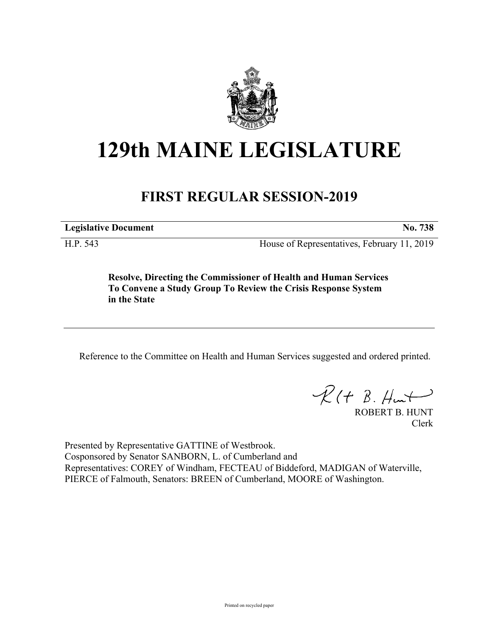

## **129th MAINE LEGISLATURE**

## **FIRST REGULAR SESSION-2019**

**Legislative Document No. 738**

H.P. 543 House of Representatives, February 11, 2019

**Resolve, Directing the Commissioner of Health and Human Services To Convene a Study Group To Review the Crisis Response System in the State**

Reference to the Committee on Health and Human Services suggested and ordered printed.

 $\mathcal{R}(t \; \mathcal{B}, \mathcal{H}_{\mathsf{int}})$ 

ROBERT B. HUNT Clerk

Presented by Representative GATTINE of Westbrook. Cosponsored by Senator SANBORN, L. of Cumberland and Representatives: COREY of Windham, FECTEAU of Biddeford, MADIGAN of Waterville, PIERCE of Falmouth, Senators: BREEN of Cumberland, MOORE of Washington.